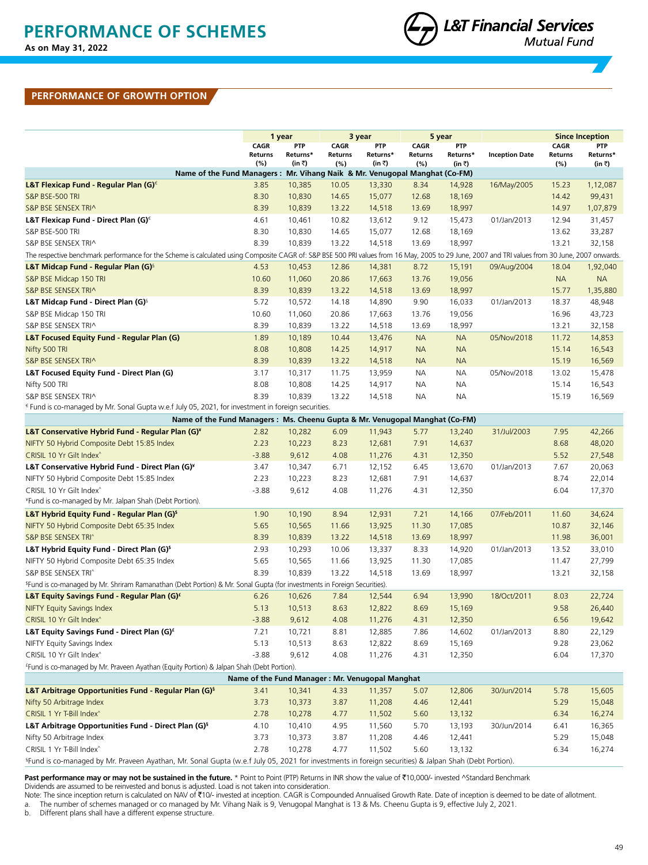

### **PERFORMANCE OF GROWTH OPTION**

|                                                                                                                                                                                                 |                                                 | 1 year             |                       | 3 year             |                | 5 year             |                       |                | <b>Since Inception</b> |
|-------------------------------------------------------------------------------------------------------------------------------------------------------------------------------------------------|-------------------------------------------------|--------------------|-----------------------|--------------------|----------------|--------------------|-----------------------|----------------|------------------------|
|                                                                                                                                                                                                 | <b>CAGR</b>                                     | <b>PTP</b>         | <b>CAGR</b>           | <b>PTP</b>         | <b>CAGR</b>    | <b>PTP</b>         |                       | <b>CAGR</b>    | PTP                    |
|                                                                                                                                                                                                 | Returns<br>(%)                                  | Returns*<br>(in ₹) | <b>Returns</b><br>(%) | Returns*<br>(in ₹) | Returns<br>(%) | Returns*<br>(in ₹) | <b>Inception Date</b> | Returns<br>(%) | Returns*<br>(in ₹)     |
| Name of the Fund Managers: Mr. Vihang Naik & Mr. Venugopal Manghat (Co-FM)                                                                                                                      |                                                 |                    |                       |                    |                |                    |                       |                |                        |
| L&T Flexicap Fund - Regular Plan (G) $\epsilon$                                                                                                                                                 | 3.85                                            | 10,385             | 10.05                 | 13,330             | 8.34           | 14,928             | 16/May/2005           | 15.23          | 1,12,087               |
| S&P BSE-500 TRI                                                                                                                                                                                 | 8.30                                            | 10,830             | 14.65                 | 15,077             | 12.68          | 18,169             |                       | 14.42          | 99,431                 |
| S&P BSE SENSEX TRI^                                                                                                                                                                             | 8.39                                            | 10,839             | 13.22                 | 14,518             | 13.69          | 18,997             |                       | 14.97          | 1,07,879               |
| L&T Flexicap Fund - Direct Plan (G) $^{\epsilon}$                                                                                                                                               | 4.61                                            | 10,461             | 10.82                 | 13,612             | 9.12           | 15,473             | 01/Jan/2013           | 12.94          | 31,457                 |
| S&P BSE-500 TRI                                                                                                                                                                                 | 8.30                                            | 10,830             | 14.65                 | 15,077             | 12.68          | 18,169             |                       | 13.62          | 33,287                 |
| S&P BSE SENSEX TRI^                                                                                                                                                                             | 8.39                                            | 10,839             | 13.22                 | 14,518             | 13.69          | 18,997             |                       | 13.21          | 32,158                 |
| The respective benchmark performance for the Scheme is calculated using Composite CAGR of: S&P BSE 500 PRI values from 16 May, 2005 to 29 June, 2007 and TRI values from 30 June, 2007 onwards. |                                                 |                    |                       |                    |                |                    |                       |                |                        |
| L&T Midcap Fund - Regular Plan (G) <sup>§</sup>                                                                                                                                                 | 4.53                                            | 10,453             | 12.86                 | 14,381             | 8.72           | 15,191             | 09/Aug/2004           | 18.04          | 1,92,040               |
| S&P BSE Midcap 150 TRI                                                                                                                                                                          | 10.60                                           | 11,060             | 20.86                 | 17,663             | 13.76          | 19,056             |                       | <b>NA</b>      | <b>NA</b>              |
| S&P BSE SENSEX TRI^                                                                                                                                                                             | 8.39                                            | 10,839             | 13.22                 | 14,518             | 13.69          | 18,997             |                       | 15.77          | 1,35,880               |
| L&T Midcap Fund - Direct Plan (G) <sup>§</sup>                                                                                                                                                  | 5.72                                            | 10,572             | 14.18                 | 14,890             | 9.90           | 16,033             | 01/Jan/2013           | 18.37          | 48,948                 |
| S&P BSE Midcap 150 TRI                                                                                                                                                                          | 10.60                                           | 11,060             | 20.86                 | 17,663             | 13.76          | 19,056             |                       | 16.96          | 43,723                 |
| S&P BSE SENSEX TRI^                                                                                                                                                                             | 8.39                                            | 10,839             | 13.22                 | 14,518             | 13.69          | 18,997             |                       | 13.21          | 32,158                 |
| <b>L&amp;T Focused Equity Fund - Regular Plan (G)</b>                                                                                                                                           | 1.89                                            | 10,189             | 10.44                 | 13,476             | <b>NA</b>      | <b>NA</b>          | 05/Nov/2018           | 11.72          | 14,853                 |
| Nifty 500 TRI                                                                                                                                                                                   | 8.08                                            | 10,808             | 14.25                 | 14,917             | <b>NA</b>      | <b>NA</b>          |                       | 15.14          | 16,543                 |
| S&P BSE SENSEX TRI^                                                                                                                                                                             | 8.39                                            | 10,839             | 13.22                 | 14,518             | <b>NA</b>      | <b>NA</b>          |                       | 15.19          | 16,569                 |
| L&T Focused Equity Fund - Direct Plan (G)                                                                                                                                                       | 3.17                                            | 10,317             | 11.75                 | 13,959             | <b>NA</b>      | NA                 | 05/Nov/2018           | 13.02          | 15,478                 |
| Nifty 500 TRI                                                                                                                                                                                   | 8.08                                            | 10,808             | 14.25                 | 14,917             | <b>NA</b>      | <b>NA</b>          |                       | 15.14          | 16,543                 |
| S&P BSE SENSEX TRI^                                                                                                                                                                             | 8.39                                            | 10,839             | 13.22                 | 14,518             | <b>NA</b>      | <b>NA</b>          |                       | 15.19          | 16,569                 |
| $\epsilon$ Fund is co-managed by Mr. Sonal Gupta w.e.f July 05, 2021, for investment in foreign securities.                                                                                     |                                                 |                    |                       |                    |                |                    |                       |                |                        |
| Name of the Fund Managers: Ms. Cheenu Gupta & Mr. Venugopal Manghat (Co-FM)                                                                                                                     |                                                 |                    |                       |                    |                |                    |                       |                |                        |
| L&T Conservative Hybrid Fund - Regular Plan (G)*                                                                                                                                                | 2.82                                            | 10,282             | 6.09                  | 11,943             | 5.77           | 13,240             | 31/Jul/2003           | 7.95           | 42,266                 |
| NIFTY 50 Hybrid Composite Debt 15:85 Index                                                                                                                                                      | 2.23                                            | 10,223             | 8.23                  | 12,681             | 7.91           | 14,637             |                       | 8.68           | 48,020                 |
| CRISIL 10 Yr Gilt Index <sup>^</sup>                                                                                                                                                            | $-3.88$                                         | 9,612              | 4.08                  | 11,276             | 4.31           | 12,350             |                       | 5.52           | 27,548                 |
| L&T Conservative Hybrid Fund - Direct Plan (G)*                                                                                                                                                 | 3.47                                            | 10,347             | 6.71                  | 12,152             | 6.45           | 13,670             | 01/Jan/2013           | 7.67           | 20,063                 |
| NIFTY 50 Hybrid Composite Debt 15:85 Index                                                                                                                                                      | 2.23                                            | 10,223             | 8.23                  | 12,681             | 7.91           | 14,637             |                       | 8.74           | 22,014                 |
| CRISIL 10 Yr Gilt Index^                                                                                                                                                                        | $-3.88$                                         | 9,612              | 4.08                  | 11,276             | 4.31           | 12,350             |                       | 6.04           | 17,370                 |
| *Fund is co-managed by Mr. Jalpan Shah (Debt Portion).                                                                                                                                          |                                                 |                    |                       |                    |                |                    |                       |                |                        |
| L&T Hybrid Equity Fund - Regular Plan (G) <sup>\$</sup>                                                                                                                                         | 1.90                                            | 10,190             | 8.94                  | 12,931             | 7.21           | 14,166             | 07/Feb/2011           | 11.60          | 34,624                 |
| NIFTY 50 Hybrid Composite Debt 65:35 Index                                                                                                                                                      | 5.65                                            | 10,565             | 11.66                 | 13,925             | 11.30          | 17,085             |                       | 10.87          | 32,146                 |
| S&P BSE SENSEX TRI^                                                                                                                                                                             | 8.39                                            | 10,839             | 13.22                 | 14,518             | 13.69          | 18,997             |                       | 11.98          | 36,001                 |
| L&T Hybrid Equity Fund - Direct Plan (G) <sup>s</sup>                                                                                                                                           | 2.93                                            | 10,293             | 10.06                 | 13,337             | 8.33           | 14,920             | 01/Jan/2013           | 13.52          | 33,010                 |
| NIFTY 50 Hybrid Composite Debt 65:35 Index                                                                                                                                                      | 5.65                                            | 10,565             | 11.66                 | 13,925             | 11.30          | 17,085             |                       | 11.47          | 27,799                 |
| S&P BSE SENSEX TRI^                                                                                                                                                                             | 8.39                                            | 10,839             | 13.22                 | 14,518             | 13.69          | 18,997             |                       | 13.21          | 32,158                 |
| <sup>5</sup> Fund is co-managed by Mr. Shriram Ramanathan (Debt Portion) & Mr. Sonal Gupta (for investments in Foreign Securities).                                                             |                                                 |                    |                       |                    |                |                    |                       |                |                        |
| L&T Equity Savings Fund - Regular Plan (G) <sup>£</sup>                                                                                                                                         | 6.26                                            | 10,626             | 7.84                  | 12,544             | 6.94           | 13,990             | 18/Oct/2011           | 8.03           | 22,724                 |
| <b>NIFTY Equity Savings Index</b>                                                                                                                                                               | 5.13                                            | 10,513             | 8.63                  | 12,822             | 8.69           | 15,169             |                       | 9.58           | 26,440                 |
| CRISIL 10 Yr Gilt Index <sup>^</sup>                                                                                                                                                            | $-3.88$                                         | 9,612              | 4.08                  | 11,276             | 4.31           | 12,350             |                       | 6.56           | 19,642                 |
| L&T Equity Savings Fund - Direct Plan (G) <sup>£</sup>                                                                                                                                          | 7.21                                            | 10,721             | 8.81                  | 12,885             | 7.86           | 14,602             | 01/Jan/2013           | 8.80           | 22,129                 |
| NIFTY Equity Savings Index                                                                                                                                                                      | 5.13                                            | 10,513             | 8.63                  | 12,822             | 8.69           | 15,169             |                       | 9.28           | 23,062                 |
| CRISIL 10 Yr Gilt Index <sup>^</sup>                                                                                                                                                            | $-3.88$                                         | 9,612              | 4.08                  | 11,276             | 4.31           | 12,350             |                       | 6.04           | 17,370                 |
| <sup>£</sup> Fund is co-managed by Mr. Praveen Ayathan (Equity Portion) & Jalpan Shah (Debt Portion).                                                                                           |                                                 |                    |                       |                    |                |                    |                       |                |                        |
|                                                                                                                                                                                                 | Name of the Fund Manager: Mr. Venugopal Manghat |                    |                       |                    |                |                    |                       |                |                        |
| <b>L&amp;T Arbitrage Opportunities Fund - Regular Plan (G)</b> <sup>§</sup>                                                                                                                     | 3.41                                            | 10,341             | 4.33                  | 11,357             | 5.07           | 12,806             | 30/Jun/2014           | 5.78           | 15,605                 |
| Nifty 50 Arbitrage Index                                                                                                                                                                        | 3.73                                            | 10,373             | 3.87                  | 11,208             | 4.46           | 12,441             |                       | 5.29           | 15,048                 |
| CRISIL 1 Yr T-Bill Index^                                                                                                                                                                       | 2.78                                            | 10,278             | 4.77                  | 11,502             | 5.60           | 13,132             |                       | 6.34           | 16,274                 |
| L&T Arbitrage Opportunities Fund - Direct Plan (G) <sup>§</sup>                                                                                                                                 | 4.10                                            | 10,410             | 4.95                  | 11,560             | 5.70           | 13,193             | 30/Jun/2014           | 6.41           | 16,365                 |
| Nifty 50 Arbitrage Index                                                                                                                                                                        | 3.73                                            | 10,373             | 3.87                  | 11,208             | 4.46           | 12,441             |                       | 5.29           | 15,048                 |
| CRISIL 1 Yr T-Bill Index^                                                                                                                                                                       | 2.78                                            | 10,278             | 4.77                  | 11,502             | 5.60           | 13,132             |                       | 6.34           | 16,274                 |
| §Fund is co-managed by Mr. Praveen Ayathan, Mr. Sonal Gupta (w.e.f July 05, 2021 for investments in foreign securities) & Jalpan Shah (Debt Portion).                                           |                                                 |                    |                       |                    |                |                    |                       |                |                        |

Past performance may or may not be sustained in the future. \* Point to Point (PTP) Returns in INR show the value of ₹10,000/- invested ^Standard Benchmark

Dividends are assumed to be reinvested and bonus is adjusted. Load is not taken into consideration.

Note: The since inception return is calculated on NAV of ₹10/- invested at inception. CAGR is Compounded Annualised Growth Rate. Date of inception is deemed to be date of allotment.

a. The number of schemes managed or co managed by Mr. Vihang Naik is 9, Venugopal Manghat is 13 & Ms. Cheenu Gupta is 9, effective July 2, 2021.

b. Different plans shall have a different expense structure.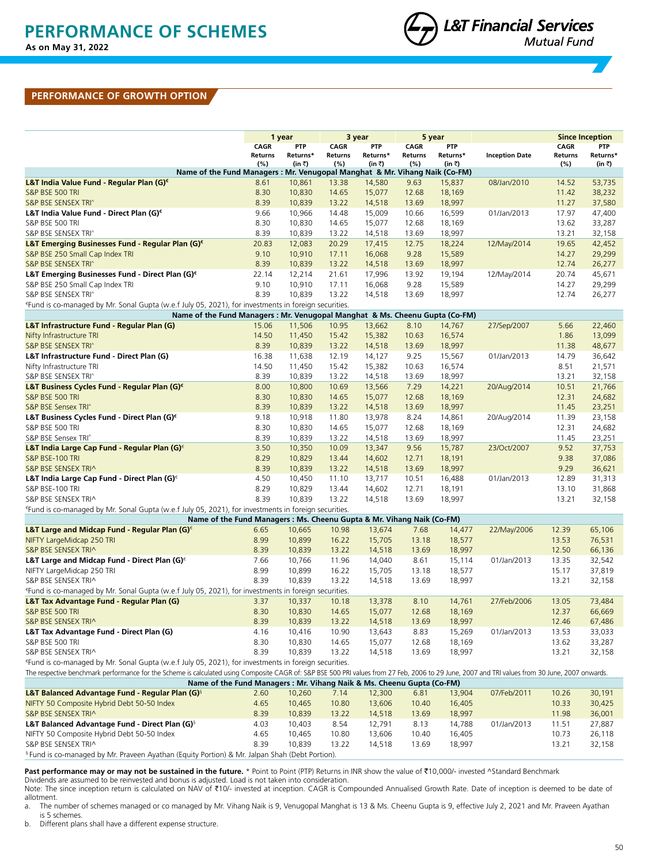## **PERFORMANCE OF GROWTH OPTION**

|                                                                                                                                                                                                 | 1 year      |            | 3 year      |            | 5 year      |            |                       |                | <b>Since Inception</b> |
|-------------------------------------------------------------------------------------------------------------------------------------------------------------------------------------------------|-------------|------------|-------------|------------|-------------|------------|-----------------------|----------------|------------------------|
|                                                                                                                                                                                                 | <b>CAGR</b> | <b>PTP</b> | <b>CAGR</b> | <b>PTP</b> | <b>CAGR</b> | <b>PTP</b> |                       | <b>CAGR</b>    | <b>PTP</b>             |
|                                                                                                                                                                                                 | Returns     | Returns*   | Returns     | Returns*   | Returns     | Returns*   | <b>Inception Date</b> | <b>Returns</b> | Returns*               |
|                                                                                                                                                                                                 | (%)         | (in ₹)     | (%)         | (in ₹)     | $(\%)$      | (in ₹)     |                       | (%)            | (in ₹)                 |
| Name of the Fund Managers : Mr. Venugopal Manghat & Mr. Vihang Naik (Co-FM)                                                                                                                     |             |            |             |            |             |            |                       |                |                        |
| L&T India Value Fund - Regular Plan (G) <sup>€</sup>                                                                                                                                            | 8.61        | 10,861     | 13.38       | 14,580     | 9.63        | 15,837     | 08/Jan/2010           | 14.52          | 53,735                 |
| S&P BSE 500 TRI                                                                                                                                                                                 | 8.30        | 10,830     | 14.65       | 15,077     | 12.68       | 18,169     |                       | 11.42          | 38,232                 |
| S&P BSE SENSEX TRI^                                                                                                                                                                             | 8.39        | 10,839     | 13.22       | 14,518     | 13.69       | 18,997     |                       | 11.27          | 37,580                 |
| L&T India Value Fund - Direct Plan (G) <sup>€</sup>                                                                                                                                             | 9.66        | 10,966     | 14.48       | 15,009     | 10.66       | 16,599     | 01/Jan/2013           | 17.97          | 47,400                 |
| S&P BSE 500 TRI                                                                                                                                                                                 | 8.30        | 10,830     | 14.65       | 15,077     | 12.68       | 18,169     |                       | 13.62          | 33,287                 |
| S&P BSE SENSEX TRI^                                                                                                                                                                             | 8.39        | 10,839     | 13.22       | 14,518     | 13.69       | 18,997     |                       | 13.21          | 32,158                 |
| L&T Emerging Businesses Fund - Regular Plan (G)€                                                                                                                                                | 20.83       | 12,083     | 20.29       | 17,415     | 12.75       | 18,224     | 12/May/2014           | 19.65          | 42,452                 |
| S&P BSE 250 Small Cap Index TRI                                                                                                                                                                 | 9.10        | 10,910     | 17.11       | 16,068     | 9.28        | 15,589     |                       | 14.27          | 29,299                 |
| S&P BSE SENSEX TRI^                                                                                                                                                                             | 8.39        | 10,839     | 13.22       | 14,518     | 13.69       | 18,997     |                       | 12.74          | 26,277                 |
| L&T Emerging Businesses Fund - Direct Plan $(G)^{\epsilon}$                                                                                                                                     | 22.14       | 12,214     | 21.61       | 17,996     | 13.92       | 19,194     | 12/May/2014           | 20.74          | 45,671                 |
| S&P BSE 250 Small Cap Index TRI                                                                                                                                                                 | 9.10        | 10,910     | 17.11       | 16,068     | 9.28        | 15,589     |                       | 14.27          | 29,299                 |
| S&P BSE SENSEX TRI^                                                                                                                                                                             | 8.39        | 10,839     | 13.22       | 14,518     | 13.69       | 18,997     |                       | 12.74          | 26,277                 |
| <sup>e</sup> Fund is co-managed by Mr. Sonal Gupta (w.e.f July 05, 2021), for investments in foreign securities.                                                                                |             |            |             |            |             |            |                       |                |                        |
| Name of the Fund Managers : Mr. Venugopal Manghat & Ms. Cheenu Gupta (Co-FM)                                                                                                                    |             |            |             |            |             |            |                       |                |                        |
| L&T Infrastructure Fund - Regular Plan (G)                                                                                                                                                      | 15.06       | 11,506     | 10.95       | 13,662     | 8.10        | 14,767     | 27/Sep/2007           | 5.66           | 22,460                 |
| Nifty Infrastructure TRI                                                                                                                                                                        | 14.50       | 11,450     | 15.42       | 15,382     | 10.63       | 16,574     |                       | 1.86           | 13,099                 |
| S&P BSE SENSEX TRI^                                                                                                                                                                             | 8.39        | 10,839     | 13.22       | 14,518     | 13.69       | 18,997     |                       | 11.38          | 48,677                 |
| L&T Infrastructure Fund - Direct Plan (G)                                                                                                                                                       | 16.38       | 11,638     | 12.19       | 14,127     | 9.25        | 15,567     | 01/Jan/2013           | 14.79          | 36,642                 |
| Nifty Infrastructure TRI                                                                                                                                                                        | 14.50       | 11,450     | 15.42       | 15,382     | 10.63       | 16,574     |                       | 8.51           | 21,571                 |
| S&P BSE SENSEX TRI^                                                                                                                                                                             | 8.39        | 10,839     | 13.22       | 14,518     | 13.69       | 18,997     |                       | 13.21          | 32,158                 |
| L&T Business Cycles Fund - Regular Plan (G)€                                                                                                                                                    | 8.00        | 10,800     | 10.69       | 13,566     | 7.29        | 14,221     | 20/Aug/2014           | 10.51          | 21,766                 |
| S&P BSE 500 TRI                                                                                                                                                                                 | 8.30        | 10,830     | 14.65       | 15,077     | 12.68       | 18,169     |                       | 12.31          | 24,682                 |
| S&P BSE Sensex TRI^                                                                                                                                                                             | 8.39        | 10,839     | 13.22       | 14,518     | 13.69       | 18,997     |                       | 11.45          | 23,251                 |
| L&T Business Cycles Fund - Direct Plan (G) <sup>€</sup>                                                                                                                                         | 9.18        | 10,918     | 11.80       | 13,978     | 8.24        | 14,861     | 20/Aug/2014           | 11.39          | 23,158                 |
| S&P BSE 500 TRI                                                                                                                                                                                 | 8.30        | 10,830     | 14.65       | 15,077     | 12.68       | 18,169     |                       | 12.31          | 24,682                 |
| S&P BSE Sensex TRI^                                                                                                                                                                             | 8.39        | 10,839     | 13.22       | 14,518     | 13.69       | 18,997     |                       | 11.45          | 23,251                 |
| L&T India Large Cap Fund - Regular Plan (G) <sup>€</sup>                                                                                                                                        | 3.50        | 10,350     | 10.09       | 13,347     | 9.56        | 15,787     | 23/Oct/2007           | 9.52           | 37,753                 |
| S&P BSE-100 TRI                                                                                                                                                                                 | 8.29        | 10,829     | 13.44       | 14,602     | 12.71       | 18,191     |                       | 9.38           | 37,086                 |
| S&P BSE SENSEX TRI^                                                                                                                                                                             | 8.39        | 10,839     | 13.22       | 14,518     | 13.69       | 18,997     |                       | 9.29           | 36,621                 |
| L&T India Large Cap Fund - Direct Plan (G) $^{\epsilon}$                                                                                                                                        | 4.50        | 10,450     | 11.10       | 13,717     | 10.51       | 16,488     | 01/Jan/2013           | 12.89          | 31,313                 |
| S&P BSE-100 TRI                                                                                                                                                                                 | 8.29        | 10,829     | 13.44       | 14,602     | 12.71       | 18,191     |                       | 13.10          | 31,868                 |
| S&P BSE SENSEX TRI^                                                                                                                                                                             | 8.39        | 10,839     | 13.22       | 14,518     | 13.69       | 18,997     |                       | 13.21          | 32,158                 |
|                                                                                                                                                                                                 |             |            |             |            |             |            |                       |                |                        |
| Eund is co-managed by Mr. Sonal Gupta (w.e.f July 05, 2021), for investments in foreign securities.<br>Name of the Fund Managers : Ms. Cheenu Gupta & Mr. Vihang Naik (Co-FM)                   |             |            |             |            |             |            |                       |                |                        |
|                                                                                                                                                                                                 |             | 10,665     | 10.98       | 13,674     | 7.68        | 14,477     |                       | 12.39          | 65,106                 |
| <b>L&amp;T Large and Midcap Fund - Regular Plan (G)</b> $\epsilon$<br>NIFTY LargeMidcap 250 TRI                                                                                                 | 6.65        | 10,899     |             |            |             | 18,577     | 22/May/2006           |                | 76,531                 |
|                                                                                                                                                                                                 | 8.99        |            | 16.22       | 15,705     | 13.18       |            |                       | 13.53          |                        |
| S&P BSE SENSEX TRI^                                                                                                                                                                             | 8.39        | 10,839     | 13.22       | 14,518     | 13.69       | 18,997     |                       | 12.50          | 66,136                 |
| L&T Large and Midcap Fund - Direct Plan (G) $\epsilon$                                                                                                                                          | 7.66        | 10,766     | 11.96       | 14,040     | 8.61        | 15,114     | 01/Jan/2013           | 13.35          | 32,542                 |
| NIFTY LargeMidcap 250 TRI                                                                                                                                                                       | 8.99        | 10,899     | 16.22       | 15,705     | 13.18       | 18,577     |                       | 15.17          | 37,819                 |
| S&P BSE SENSEX TRI^                                                                                                                                                                             | 8.39        | 10,839     | 13.22       | 14,518     | 13.69       | 18,997     |                       | 13.21          | 32,158                 |
| <sup>e</sup> Fund is co-managed by Mr. Sonal Gupta (w.e.f July 05, 2021), for investments in foreign securities.                                                                                |             |            |             |            |             |            |                       |                |                        |
| L&T Tax Advantage Fund - Regular Plan (G)                                                                                                                                                       | 3.37        | 10,337     | 10.18       | 13,378     | 8.10        | 14,761     | 27/Feb/2006           | 13.05          | 73,484                 |
| S&P BSE 500 TRI                                                                                                                                                                                 | 8.30        | 10,830     | 14.65       | 15,077     | 12.68       | 18,169     |                       | 12.37          | 66,669                 |
| S&P BSE SENSEX TRI^                                                                                                                                                                             | 8.39        | 10,839     | 13.22       | 14,518     | 13.69       | 18,997     |                       | 12.46          | 67,486                 |
| L&T Tax Advantage Fund - Direct Plan (G)                                                                                                                                                        | 4.16        | 10,416     | 10.90       | 13,643     | 8.83        | 15,269     | 01/Jan/2013           | 13.53          | 33,033                 |
| S&P BSE 500 TRI                                                                                                                                                                                 | 8.30        | 10,830     | 14.65       | 15,077     | 12.68       | 18,169     |                       | 13.62          | 33,287                 |
| S&P BSE SENSEX TRI^                                                                                                                                                                             | 8.39        | 10,839     | 13.22       | 14,518     | 13.69       | 18,997     |                       | 13.21          | 32,158                 |
| <sup>e</sup> Fund is co-managed by Mr. Sonal Gupta (w.e.f July 05, 2021), for investments in foreign securities.                                                                                |             |            |             |            |             |            |                       |                |                        |
| The respective benchmark performance for the Scheme is calculated using Composite CAGR of: S&P BSE 500 PRI values from 27 Feb, 2006 to 29 June, 2007 and TRI values from 30 June, 2007 onwards. |             |            |             |            |             |            |                       |                |                        |
| Name of the Fund Managers : Mr. Vihang Naik & Ms. Cheenu Gupta (Co-FM)                                                                                                                          |             |            |             |            |             |            |                       |                |                        |
| L&T Balanced Advantage Fund - Regular Plan (G) <sup>§</sup>                                                                                                                                     | 2.60        | 10,260     | 7.14        | 12,300     | 6.81        | 13,904     | 07/Feb/2011           | 10.26          | 30,191                 |
| NIFTY 50 Composite Hybrid Debt 50-50 Index                                                                                                                                                      | 4.65        | 10,465     | 10.80       | 13,606     | 10.40       | 16,405     |                       | 10.33          | 30,425                 |
| S&P BSE SENSEX TRI^                                                                                                                                                                             | 8.39        | 10,839     | 13.22       | 14,518     | 13.69       | 18,997     |                       | 11.98          | 36,001                 |
| L&T Balanced Advantage Fund - Direct Plan (G) <sup>§</sup>                                                                                                                                      | 4.03        | 10,403     | 8.54        | 12,791     | 8.13        | 14,788     | 01/Jan/2013           | 11.51          | 27,887                 |
| NIFTY 50 Composite Hybrid Debt 50-50 Index                                                                                                                                                      | 4.65        | 10,465     | 10.80       | 13,606     | 10.40       | 16,405     |                       | 10.73          | 26,118                 |
| S&P BSE SENSEX TRI^                                                                                                                                                                             | 8.39        | 10,839     | 13.22       | 14,518     | 13.69       | 18,997     |                       | 13.21          | 32,158                 |
| <sup>§</sup> Fund is co-managed by Mr. Praveen Ayathan (Equity Portion) & Mr. Jalpan Shah (Debt Portion).                                                                                       |             |            |             |            |             |            |                       |                |                        |
|                                                                                                                                                                                                 |             |            |             |            |             |            |                       |                |                        |

Past performance may or may not be sustained in the future. \* Point to Point (PTP) Returns in INR show the value of ₹10,000/- invested ^Standard Benchmark

Dividends are assumed to be reinvested and bonus is adjusted. Load is not taken into consideration.<br>Note: The since inception return is calculated on NAV of ₹10/- invested at inception. CAGR is Compounded Annualised Grow allotment.

a. The number of schemes managed or co managed by Mr. Vihang Naik is 9, Venugopal Manghat is 13 & Ms. Cheenu Gupta is 9, effective July 2, 2021 and Mr. Praveen Ayathan is 5 schemes.

b. Different plans shall have a different expense structure.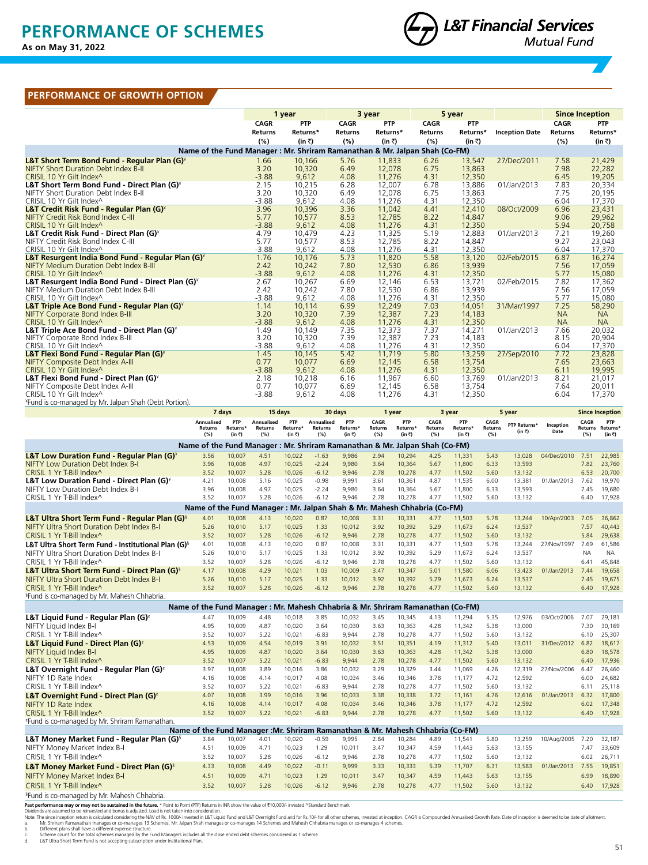# **PERFORMANCE OF SCHEMES**

**Data as on May 31, 2022 As on May 31, 2022**



### **PERFORMANCE OF GROWTH OPTION**

|                                                                             | 1 year          |                 |                | 3 year           |              | 5 year           |                       |                | <b>Since Inception</b> |
|-----------------------------------------------------------------------------|-----------------|-----------------|----------------|------------------|--------------|------------------|-----------------------|----------------|------------------------|
|                                                                             | <b>CAGR</b>     | <b>PTP</b>      | <b>CAGR</b>    | <b>PTP</b>       | <b>CAGR</b>  | <b>PTP</b>       |                       | <b>CAGR</b>    | <b>PTP</b>             |
|                                                                             | <b>Returns</b>  | Returns*        | <b>Returns</b> | Returns*         | Returns      | Returns*         | <b>Inception Date</b> | <b>Returns</b> | Returns*               |
|                                                                             | (%)             | (in ₹)          | (%)            | (in ₹)           | (%)          | (in ₹)           |                       | (%)            | (in ₹)                 |
| Name of the Fund Manager : Mr. Shriram Ramanathan & Mr. Jalpan Shah (Co-FM) |                 |                 |                |                  |              |                  |                       |                |                        |
| L&T Short Term Bond Fund - Regular Plan (G)*                                | 1.66            | 10,166          | 5.76           | 11,833           | 6.26         | 13,547           | 27/Dec/2011           | 7.58           | 21,429                 |
| <b>NIFTY Short Duration Debt Index B-II</b>                                 | 3.20            | 10,320          | 6.49           | 12,078           | 6.75         | 13,863           |                       | 7.98           | 22,282                 |
| CRISIL 10 Yr Gilt Index^                                                    | $-3.88$         | 9,612           | 4.08           | 11,276           | 4.31         | 12,350           |                       | 6.45           | 19,205                 |
| L&T Short Term Bond Fund - Direct Plan (G) <sup>*</sup>                     | 2.15            | 10,215          | 6.28           | 12,007           | 6.78         | 13,886           | 01/Jan/2013           | 7.83           | 20,334                 |
| NIFTY Short Duration Debt Index B-II                                        | 3.20            | 10,320          | 6.49           | 12,078           | 6.75         | 13,863           |                       | 7.75           | 20,195                 |
| CRISIL 10 Yr Gilt Index^                                                    | $-3.88$         | 9,612           | 4.08           | 11,276           | 4.31         | 12,350           |                       | 6.04           | 17,370                 |
| L&T Credit Risk Fund - Regular Plan (G) <sup>*</sup>                        | 3.96            | 10,396          | 3.36           | 11,042           | 4.41         | 12,410           | 08/Oct/2009           | 6.96           | 23,431                 |
| NIFTY Credit Risk Bond Index C-III                                          | 5.77            | 10,577          | 8.53           | 12,785           | 8.22         | 14,847           |                       | 9.06           | 29,962                 |
| CRISIL 10 Yr Gilt Index^                                                    | $-3.88$         | 9,612           | 4.08           | 11,276           | 4.31         | 12,350           |                       | 5.94           | 20,758                 |
| L&T Credit Risk Fund - Direct Plan (G) <sup>*</sup>                         | 4.79            | 10,479          | 4.23           | 11,325           | 5.19         | 12,883           | 01/Jan/2013           | 7.21           | 19,260                 |
| NIFTY Credit Risk Bond Index C-III                                          | 5.77            | 10,577          | 8.53           | 12,785           | 8.22         | 14,847           |                       | 9.27           | 23,043                 |
| CRISIL 10 Yr Gilt Index^                                                    | $-3.88$         | 9,612           | 4.08           | 11,276           | 4.31         | 12,350           |                       | 6.04           | 17,370                 |
| L&T Resurgent India Bond Fund - Regular Plan (G) <sup>*</sup>               | 1.76            | 10,176          | 5.73           | 11,820           | 5.58         | 13,120           | 02/Feb/2015           | 6.87           | 16,274                 |
| <b>NIFTY Medium Duration Debt Index B-III</b>                               | 2.42            | 10,242          | 7.80           | 12,530           | 6.86         | 13,939           |                       | 7.56           | 17,059                 |
| CRISIL 10 Yr Gilt Index^                                                    | $-3.88$         | 9,612           | 4.08           | 11,276           | 4.31         | 12,350           |                       | 5.77           | 15,080                 |
| L&T Resurgent India Bond Fund - Direct Plan (G) <sup>*</sup>                | 2.67            | 10,267          | 6.69           | 12,146           | 6.53         | 13,721           | 02/Feb/2015           | 7.82           | 17,362                 |
| NIFTY Medium Duration Debt Index B-III<br>CRISIL 10 Yr Gilt Index^          | 2.42<br>$-3.88$ | 10,242<br>9,612 | 7.80<br>4.08   | 12,530<br>11,276 | 6.86<br>4.31 | 13,939<br>12,350 |                       | 7.56<br>5.77   | 17,059                 |
| L&T Triple Ace Bond Fund - Regular Plan (G) <sup>*</sup>                    | 1.14            | 10,114          | 6.99           | 12,249           | 7.03         | 14,051           | 31/Mar/1997           | 7.25           | 15,080<br>58,290       |
| <b>NIFTY Corporate Bond Index B-III</b>                                     | 3.20            | 10,320          | 7.39           | 12,387           | 7.23         | 14,183           |                       | <b>NA</b>      | <b>NA</b>              |
| CRISIL 10 Yr Gilt Index^                                                    | $-3.88$         | 9,612           | 4.08           | 11,276           | 4.31         | 12,350           |                       | <b>NA</b>      | <b>NA</b>              |
| L&T Triple Ace Bond Fund - Direct Plan (G) <sup>*</sup>                     | 1.49            | 10,149          | 7.35           | 12,373           | 7.37         | 14,271           | 01/Jan/2013           | 7.66           | 20,032                 |
| NIFTY Corporate Bond Index B-III                                            | 3.20            | 10,320          | 7.39           | 12,387           | 7.23         | 14,183           |                       | 8.15           | 20,904                 |
| CRISIL 10 Yr Gilt Index^                                                    | $-3.88$         | 9,612           | 4.08           | 11,276           | 4.31         | 12,350           |                       | 6.04           | 17,370                 |
| <b>L&amp;T Flexi Bond Fund - Regular Plan (G)*</b>                          | 1.45            | 10,145          | 5.42           | 11,719           | 5.80         | 13,259           | 27/Sep/2010           | 7.72           | 23,828                 |
| <b>NIFTY Composite Debt Index A-III</b>                                     | 0.77            | 10,077          | 6.69           | 12,145           | 6.58         | 13,754           |                       | 7.65           | 23,663                 |
| CRISIL 10 Yr Gilt Index^                                                    | $-3.88$         | 9,612           | 4.08           | 11,276           | 4.31         | 12,350           |                       | 6.11           | 19,995                 |
| L&T Flexi Bond Fund - Direct Plan (G) <sup>*</sup>                          | 2.18            | 10,218          | 6.16           | 11,967           | 6.60         | 13,769           | 01/Jan/2013           | 8.21           | 21,017                 |
| NIFTY Composite Debt Index A-III                                            | 0.77            | 10,077          | 6.69           | 12,145           | 6.58         | 13,754           |                       | 7.64           | 20,011                 |
| CRISIL 10 Yr Gilt Index^                                                    | $-3.88$         | 9,612           | 4.08           | 11,276           | 4.31         | 12,350           |                       | 6.04           | 17,370                 |
| *Fund is co-managed by Mr. Jalpan Shah (Debt Portion).                      |                 |                 |                |                  |              |                  |                       |                |                        |

|                                                                            |                                                                                 | 7 days                    | 15 days                             |                           |                                     | 30 days                   |                               | 1 year                    |                        | 3 year                    |                        | 5 year                 |                   |             | <b>Since Inception</b>            |  |
|----------------------------------------------------------------------------|---------------------------------------------------------------------------------|---------------------------|-------------------------------------|---------------------------|-------------------------------------|---------------------------|-------------------------------|---------------------------|------------------------|---------------------------|------------------------|------------------------|-------------------|-------------|-----------------------------------|--|
|                                                                            | Annualised<br><b>Returns</b><br>(%)                                             | PTP<br>Returns*<br>(in ₹) | Annualised<br><b>Returns</b><br>(%) | PTP<br>Returns*<br>(in ₹) | <b>Annualised</b><br>Returns<br>(%) | PTP<br>Returns*<br>(in ₹) | CAGR<br><b>Returns</b><br>(%) | PTP<br>Returns*<br>(in ₹) | CAGR<br>Returns<br>(%) | PTP<br>Returns*<br>(in ₹) | CAGR<br>Returns<br>(%) | PTP Returns*<br>(in ₹) | Inception<br>Date | CAGR<br>(%) | PTP<br>Returns Returns*<br>(in ₹) |  |
| Name of the Fund Manager: Mr. Shriram Ramanathan & Mr. Jalpan Shah (Co-FM) |                                                                                 |                           |                                     |                           |                                     |                           |                               |                           |                        |                           |                        |                        |                   |             |                                   |  |
| <b>L&amp;T Low Duration Fund - Regular Plan (G)*</b>                       | 3.56                                                                            | 10,007                    | 4.51                                | 10,022                    | $-1.63$                             | 9.986                     | 2.94                          | 10.294                    | 4.25                   | 11,331                    | 5.43                   | 13,028                 | 04/Dec/2010       | 7.51        | 22,985                            |  |
| <b>NIFTY Low Duration Debt Index B-I</b>                                   | 3.96                                                                            | 10,008                    | 4.97                                | 10,025                    | $-2.24$                             | 9,980                     | 3.64                          | 10,364                    | 5.67                   | 11,800                    | 6.33                   | 13,593                 |                   | 7.82        | 23,760                            |  |
| CRISIL 1 Yr T-Bill Index^                                                  | 3.52                                                                            | 10,007                    | 5.28                                | 10,026                    | $-6.12$                             | 9,946                     | 2.78                          | 10.278                    | 4.77                   | 11,502                    | 5.60                   | 13,132                 |                   | 6.53        | 20,700                            |  |
| L&T Low Duration Fund - Direct Plan (G) <sup>*</sup>                       | 4.21                                                                            | 10,008                    | 5.16                                | 10,025                    | $-0.98$                             | 9,991                     | 3.61                          | 10,361                    | 4.87                   | 11,535                    | 6.00                   | 13,381                 | 01/Jan/2013       | 7.62        | 19,970                            |  |
| NIFTY Low Duration Debt Index B-I                                          | 3.96                                                                            | 10,008                    | 4.97                                | 10,025                    | $-2.24$                             | 9.980                     | 3.64                          | 10,364                    | 5.67                   | 11,800                    | 6.33                   | 13,593                 |                   | 7.45        | 19,680                            |  |
| CRISIL 1 Yr T-Bill Index^                                                  | 3.52                                                                            | 10,007                    | 5.28                                | 10,026                    | $-6.12$                             | 9,946                     | 2.78                          | 10,278                    | 4.77                   | 11,502                    | 5.60                   | 13,132                 |                   | 6.40        | 17,928                            |  |
| Name of the Fund Manager: Mr. Jalpan Shah & Mr. Mahesh Chhabria (Co-FM)    |                                                                                 |                           |                                     |                           |                                     |                           |                               |                           |                        |                           |                        |                        |                   |             |                                   |  |
| L&T Ultra Short Term Fund - Regular Plan (G) <sup>§</sup>                  | 4.01                                                                            | 10,008                    | 4.13                                | 10,020                    | 0.87                                | 10,008                    | 3.31                          | 10,331                    | 4.77                   | 11,503                    | 5.78                   | 13,244                 | 10/Apr/2003       | 7.05        | 36,862                            |  |
| NIFTY Ultra Short Duration Debt Index B-I                                  | 5.26                                                                            | 10,010                    | 5.17                                | 10,025                    | 1.33                                | 10,012                    | 3.92                          | 10,392                    | 5.29                   | 11,673                    | 6.24                   | 13,537                 |                   | 7.57        | 40,443                            |  |
| CRISIL 1 Yr T-Bill Index^                                                  | 3.52                                                                            | 10,007                    | 5.28                                | 10,026                    | $-6.12$                             | 9,946                     | 2.78                          | 10,278                    | 4.77                   | 11,502                    | 5.60                   | 13,132                 |                   | 5.84        | 29,638                            |  |
| L&T Ultra Short Term Fund - Institutional Plan (G) <sup>§</sup>            | 4.01                                                                            | 10,008                    | 4.13                                | 10,020                    | 0.87                                | 10,008                    | 3.31                          | 10,331                    | 4.77                   | 11,503                    | 5.78                   | 13,244                 | 27/Nov/1997       | 7.69        | 61,586                            |  |
| NIFTY Ultra Short Duration Debt Index B-I                                  | 5.26                                                                            | 10,010                    | 5.17                                | 10,025                    | 1.33                                | 10,012                    | 3.92                          | 10,392                    | 5.29                   | 11,673                    | 6.24                   | 13,537                 |                   | <b>NA</b>   | <b>NA</b>                         |  |
| CRISIL 1 Yr T-Bill Index^                                                  | 3.52                                                                            | 10,007                    | 5.28                                | 10,026                    | $-6.12$                             | 9,946                     | 2.78                          | 10,278                    | 4.77                   | 11,502                    | 5.60                   | 13,132                 |                   | 6.41        | 45,848                            |  |
| L&T Ultra Short Term Fund - Direct Plan (G) <sup>§</sup>                   | 4.17                                                                            | 10,008                    | 4.29                                | 10,021                    | 1.03                                | 10,009                    | 3.47                          | 10,347                    | 5.01                   | 11,580                    | 6.06                   | 13,423                 | 01/Jan/2013       | 7.44        | 19,658                            |  |
| NIFTY Ultra Short Duration Debt Index B-I                                  | 5.26                                                                            | 10,010                    | 5.17                                | 10,025                    | 1.33                                | 10,012                    | 3.92                          | 10,392                    | 5.29                   | 11,673                    | 6.24                   | 13,537                 |                   | 7.45        | 19,675                            |  |
| CRISIL 1 Yr T-Bill Index^                                                  | 3.52                                                                            | 10,007                    | 5.28                                | 10,026                    | $-6.12$                             | 9,946                     | 2.78                          | 10,278                    | 4.77                   | 11,502                    | 5.60                   | 13,132                 |                   | 6.40        | 17,928                            |  |
| <sup>§</sup> Fund is co-managed by Mr. Mahesh Chhabria.                    |                                                                                 |                           |                                     |                           |                                     |                           |                               |                           |                        |                           |                        |                        |                   |             |                                   |  |
|                                                                            | Name of the Fund Manager : Mr. Mahesh Chhabria & Mr. Shriram Ramanathan (Co-FM) |                           |                                     |                           |                                     |                           |                               |                           |                        |                           |                        |                        |                   |             |                                   |  |
| L&T Liquid Fund - Regular Plan (G) <sup>e</sup>                            | 4.47                                                                            | 10,009                    | 4.48                                | 10,018                    | 3.85                                | 10,032                    | 3.45                          | 10,345                    | 4.13                   | 11,294                    | 5.35                   | 12,976                 | 03/Oct/2006       | 7.07        | 29,181                            |  |
| NIFTY Liquid Index B-I                                                     | 4.95                                                                            | 10,009                    | 4.87                                | 10,020                    | 3.64                                | 10.030                    | 3.63                          | 10.363                    | 4.28                   | 11,342                    | 5.38                   | 13,000                 |                   | 7.30        | 30,169                            |  |
| CRISIL 1 Yr T-Bill Index^                                                  | 3.52                                                                            | 10,007                    | 5.22                                | 10,021                    | $-6.83$                             | 9,944                     | 2.78                          | 10,278                    | 4.77                   | 11,502                    | 5.60                   | 13,132                 |                   | 6.10        | 25,307                            |  |
| <b>L&amp;T Liquid Fund - Direct Plan (G)</b>                               | 4.53                                                                            | 10,009                    | 4.54                                | 10,019                    | 3.91                                | 10,032                    | 3.51                          | 10,351                    | 4.19                   | 11,312                    | 5.40                   | 13,011                 | 31/Dec/2012       | 6.82        | 18,617                            |  |
| NIFTY Liquid Index B-I                                                     | 4.95                                                                            | 10,009                    | 4.87                                | 10,020                    | 3.64                                | 10,030                    | 3.63                          | 10,363                    | 4.28                   | 11,342                    | 5.38                   | 13,000                 |                   | 6.80        | 18,578                            |  |
| CRISIL 1 Yr T-Bill Index^                                                  | 3.52                                                                            | 10,007                    | 5.22                                | 10,021                    | $-6.83$                             | 9,944                     | 2.78                          | 10.278                    | 4.77                   | 11,502                    | 5.60                   | 13,132                 |                   | 6.40        | 17,936                            |  |
| L&T Overnight Fund - Regular Plan (G) <sup>e</sup>                         | 3.97                                                                            | 10,008                    | 3.89                                | 10.016                    | 3.86                                | 10.032                    | 3.29                          | 10.329                    | 3.44                   | 11,069                    | 4.26                   | 12,319                 | 27/Nov/2006       | 6.47        | 26,460                            |  |
| NIFTY 1D Rate Index                                                        | 4.16                                                                            | 10,008                    | 4.14                                | 10,017                    | 4.08                                | 10,034                    | 3.46                          | 10,346                    | 3.78                   | 11,177                    | 4.72                   | 12,592                 |                   | 6.00        | 24,682                            |  |
| CRISIL 1 Yr T-Bill Index^                                                  | 3.52                                                                            | 10,007                    | 5.22                                | 10,021                    | $-6.83$                             | 9,944                     | 2.78                          | 10,278                    | 4.77                   | 11,502                    | 5.60                   | 13,132                 |                   | 6.11        | 25,118                            |  |
| <b>L&amp;T Overnight Fund - Direct Plan (G)</b>                            | 4.07                                                                            | 10,008                    | 3.99                                | 10,016                    | 3.96                                | 10,033                    | 3.38                          | 10,338                    | 3.72                   | 11,161                    | 4.76                   | 12,616                 | 01/Jan/2013       | 6.32        | 17,800                            |  |
| NIFTY 1D Rate Index                                                        | 4.16                                                                            | 10,008                    | 4.14                                | 10,017                    | 4.08                                | 10,034                    | 3.46                          | 10,346                    | 3.78                   | 11,177                    | 4.72                   | 12,592                 |                   | 6.02        | 17,348                            |  |
| $CRISIL$ 1 Yr T-Bill Index $\wedge$                                        | 3.52                                                                            | 10,007                    | 5.22                                | 10,021                    | $-6.83$                             | 9.944                     | 2.78                          | 10,278                    | 4.77                   | 11,502                    | 5.60                   | 13,132                 |                   | 6.40        | 17,928                            |  |
| <sup>«</sup> Fund is co-managed by Mr. Shriram Ramanathan.                 |                                                                                 |                           |                                     |                           |                                     |                           |                               |                           |                        |                           |                        |                        |                   |             |                                   |  |
|                                                                            | Name of the Fund Manager: Mr. Shriram Ramanathan & Mr. Mahesh Chhabria (Co-FM)  |                           |                                     |                           |                                     |                           |                               |                           |                        |                           |                        |                        |                   |             |                                   |  |
| L&T Money Market Fund - Regular Plan (G) <sup>§</sup>                      | 3.84                                                                            | 10,007                    | 4.01                                | 10,020                    | $-0.59$                             | 9,995                     | 2.84                          | 10,284                    | 4.89                   | 11,541                    | 5.80                   | 13,259                 | 10/Aug/2005       | 7.20        | 32,187                            |  |
| NIFTY Money Market Index B-I                                               | 4.51                                                                            | 10,009                    | 4.71                                | 10,023                    | 1.29                                | 10,011                    | 3.47                          | 10,347                    | 4.59                   | 11,443                    | 5.63                   | 13,155                 |                   | 7.47        | 33,609                            |  |
| CRISIL 1 Yr T-Bill Index^                                                  | 3.52                                                                            | 10,007                    | 5.28                                | 10,026                    | $-6.12$                             | 9,946                     | 2.78                          | 10,278                    | 4.77                   | 11,502                    | 5.60                   | 13,132                 |                   | 6.02        | 26,711                            |  |
| <b>L&amp;T Money Market Fund - Direct Plan (G)</b> §                       | 4.33                                                                            | 10,008                    | 4.49                                | 10,022                    | $-0.11$                             | 9.999                     | 3.33                          | 10,333                    | 5.39                   | 11,707                    | 6.31                   | 13,583                 | 01/Jan/2013       | 7.55        | 19,851                            |  |
| NIFTY Money Market Index B-                                                | 4.51                                                                            | 10,009                    | 4.71                                | 10.023                    | 1.29                                | 10.011                    | 3.47                          | 10.347                    | 4.59                   | 11,443                    | 5.63                   | 13.155                 |                   | 6.99        | 18,890                            |  |

CRISIL 1 Yr T-Bill Index^ 3.52 10,007 5.28 10,026 -6.12 9,946 2.78 10,278 4.77 11,502 5.60 13,132 6.40 17,928 § Fund is co-managed by Mr. Mahesh Chhabria.

Paat performance may or may not be sustained in the future. \* Point to Point (PIP) Returns in NR show the value of ₹10,000/- invested ^Standard Benchmark<br>Dividends are assumed to be reinvested and bonus is adjusted. Load i